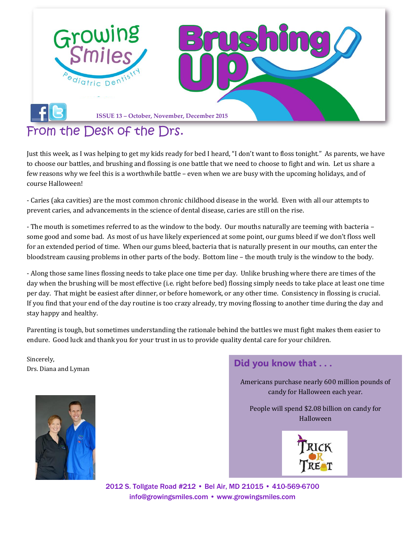

### [From the Desk of the Drs.](file:///C:/Users/user.DENTAL/Desktop/Newsletter/facebook)

Just this week, as I was helping to get my kids ready for bed I heard, "I don't want to floss tonight." As parents, we have to choose our battles, and brushing and flossing is one battle that we need to choose to fight and win. Let us share a few reasons why we feel this is a worthwhile battle – even when we are busy with the upcoming holidays, and of course Halloween!

- Caries (aka cavities) are the most common chronic childhood disease in the world. Even with all our attempts to prevent caries, and advancements in the science of dental disease, caries are still on the rise.

- The mouth is sometimes referred to as the window to the body. Our mouths naturally are teeming with bacteria – some good and some bad. As most of us have likely experienced at some point, our gums bleed if we don't floss well for an extended period of time. When our gums bleed, bacteria that is naturally present in our mouths, can enter the bloodstream causing problems in other parts of the body. Bottom line – the mouth truly is the window to the body.

- Along those same lines flossing needs to take place one time per day. Unlike brushing where there are times of the day when the brushing will be most effective (i.e. right before bed) flossing simply needs to take place at least one time per day. That might be easiest after dinner, or before homework, or any other time. Consistency in flossing is crucial. If you find that your end of the day routine is too crazy already, try moving flossing to another time during the day and stay happy and healthy.

Parenting is tough, but sometimes understanding the rationale behind the battles we must fight makes them easier to endure. Good luck and thank you for your trust in us to provide quality dental care for your children.

Sincerely,



Americans purchase nearly 600 million pounds of candy for Halloween each year.

People will spend \$2.08 billion on candy for Halloween



2012 S. Tollgate Road #212 • Bel Air, MD 21015 • 410-569-6700 [info@growingsmiles.com](mailto:info@growingsmiles.com) • [www.growingsmiles.com](http://www.growingsmiles.com/)